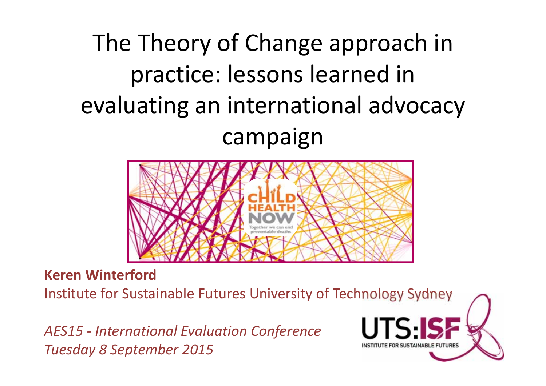# The Theory of Change approach in practice: lessons learned in evaluating an international advocacy campaign



**Keren Winterford**

Institute for Sustainable Futures University of Technology Sydney

*AES15 ‐ International Evaluation Conference Tuesday 8 September 2015*

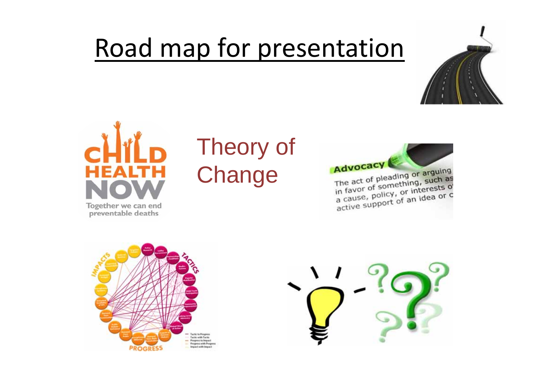# Road map for presentation





### Theory of **Change**

**Advocacy** The act of pleading or arguing

The act of pleading or argums<br>in favor of something, such as The act of promething, such as<br>in favor of something, such as<br>a cause, policy, or interests of<br>active support of an idea or c



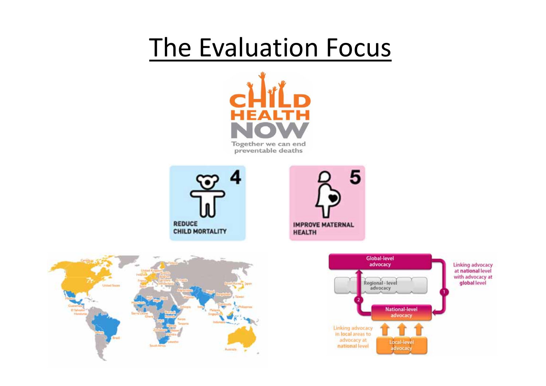# The Evaluation Focus









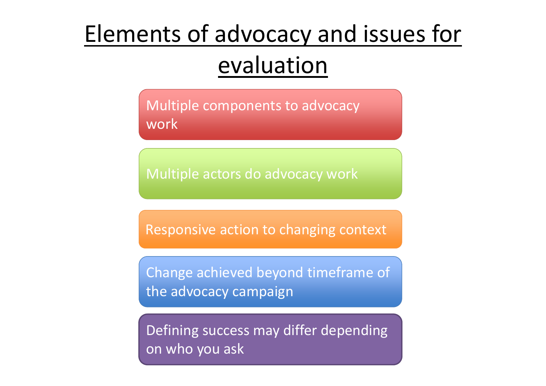## Elements of advocacy and issues for evaluation

Multiple components to advocacy work

Multiple actors do advocacy work

Responsive action to changing context

Change achieved beyond timeframe of the advocacy campaign

Defining success may differ depending on who you ask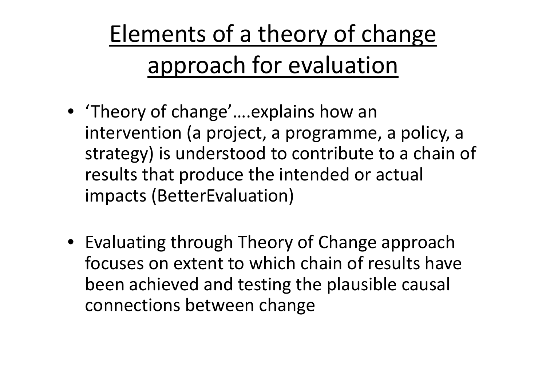Elements of <sup>a</sup> theory of change approach for evaluation

- 'Theory of change'….explains how an intervention (a project, <sup>a</sup> programme, <sup>a</sup> policy, <sup>a</sup> strategy) is understood to contribute to <sup>a</sup> chain of results that produce the intended or actual impacts (BetterEvaluation)
- Evaluating through Theory of Change approach focuses on extent to which chain of results have been achieved and testing the plausible causal connections between change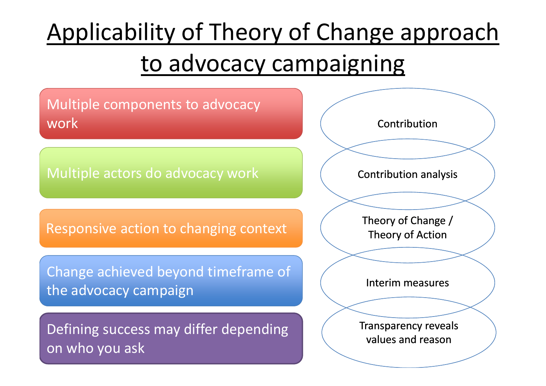# Applicability of Theory of Change approach to advocacy campaigning

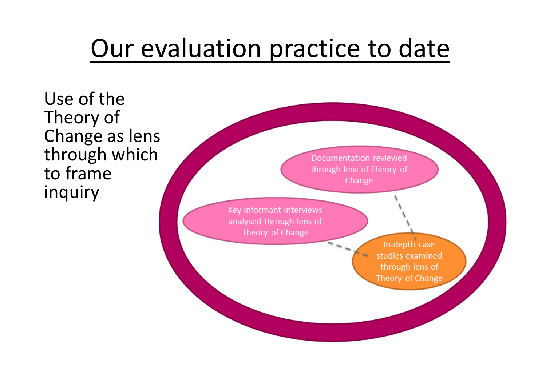# Our evaluation practice to date

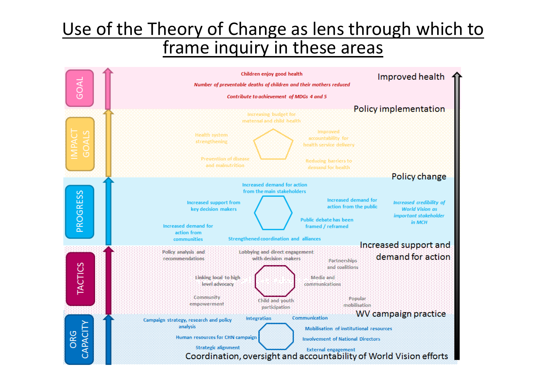### Use of the Theory of Change as lens through which to frame inquiry in these areas

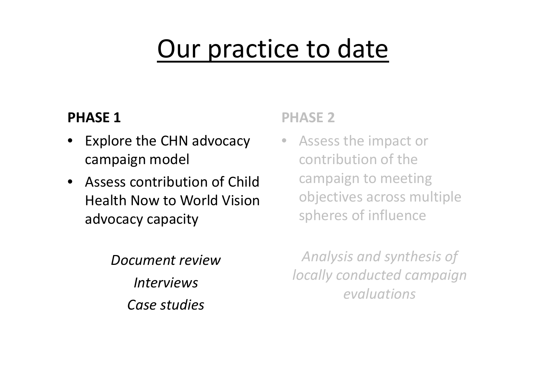# Our practice to date

### **PHASE 1**

- Explore the CHN advocacy campaign model
- Assess contribution of Child Health Now to World Vision advocacy capacity

*Document reviewInterviewsCase studies*

#### **PHASE 2**

• Assess the impact or contribution of the campaign to meeting objectives across multiple spheres of influence

*Analysis and synthesis of locally conducted campaign evaluations*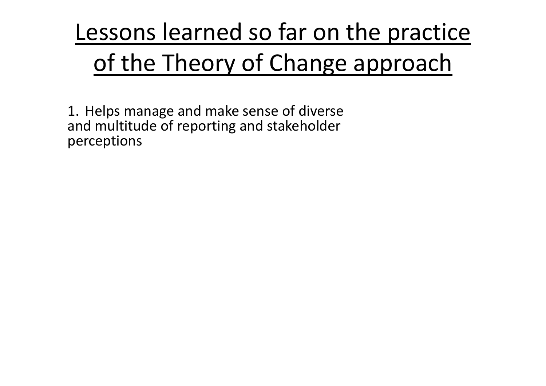# Lessons learned so far on the practice of the Theory of Change approach

1. Helps manage and make sense of diverse and multitude of reporting and stakeholder perceptions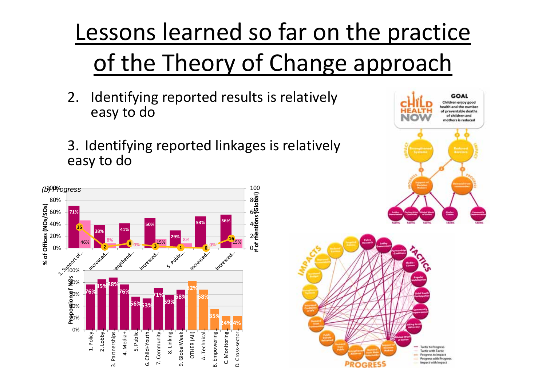Lessons learned so far on the practice of the Theory of Change approach

- 2. Identifying reported results is relatively easy to do
- 3. Identifying reported linkages is relatively easy to do



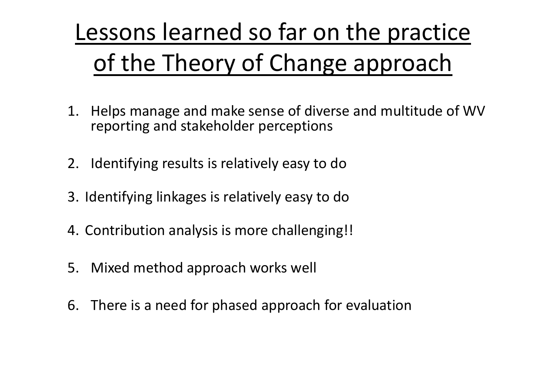# Lessons learned so far on the practice of the Theory of Change approach

- 1. Helps manage and make sense of diverse and multitude of WV reporting and stakeholder perceptions
- 2. Identifying results is relatively easy to do
- 3. Identifying linkages is relatively easy to do
- 4. Contribution analysis is more challenging!!
- 5. Mixed method approach works well
- 6. There is <sup>a</sup> need for phased approach for evaluation